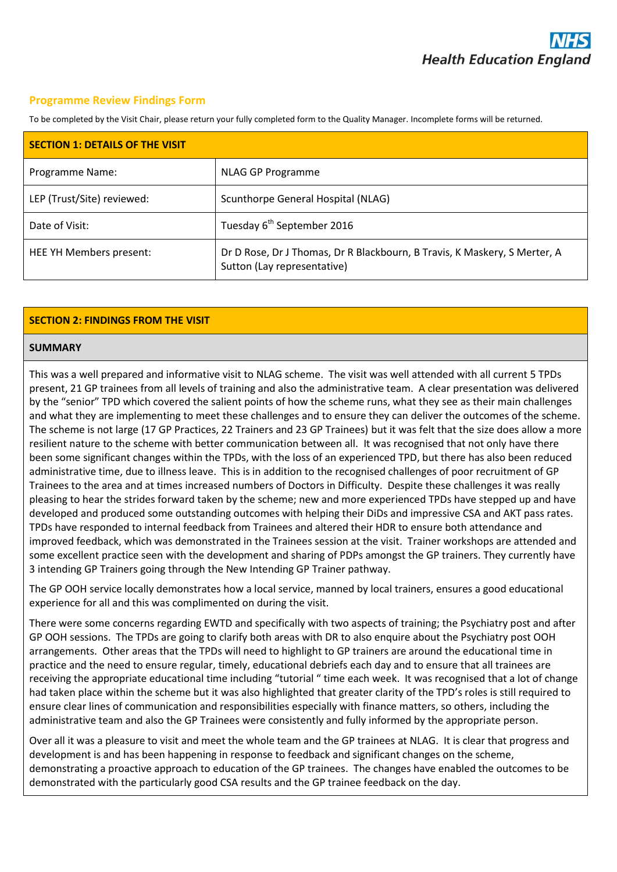## **Programme Review Findings Form**

To be completed by the Visit Chair, please return your fully completed form to the Quality Manager. Incomplete forms will be returned.

| <b>SECTION 1: DETAILS OF THE VISIT</b> |                                                                                                          |  |  |  |  |  |
|----------------------------------------|----------------------------------------------------------------------------------------------------------|--|--|--|--|--|
| Programme Name:                        | <b>NLAG GP Programme</b>                                                                                 |  |  |  |  |  |
| LEP (Trust/Site) reviewed:             | Scunthorpe General Hospital (NLAG)                                                                       |  |  |  |  |  |
| Date of Visit:                         | Tuesday 6 <sup>th</sup> September 2016                                                                   |  |  |  |  |  |
| HEE YH Members present:                | Dr D Rose, Dr J Thomas, Dr R Blackbourn, B Travis, K Maskery, S Merter, A<br>Sutton (Lay representative) |  |  |  |  |  |

## **SECTION 2: FINDINGS FROM THE VISIT**

## **SUMMARY**

This was a well prepared and informative visit to NLAG scheme. The visit was well attended with all current 5 TPDs present, 21 GP trainees from all levels of training and also the administrative team. A clear presentation was delivered by the "senior" TPD which covered the salient points of how the scheme runs, what they see as their main challenges and what they are implementing to meet these challenges and to ensure they can deliver the outcomes of the scheme. The scheme is not large (17 GP Practices, 22 Trainers and 23 GP Trainees) but it was felt that the size does allow a more resilient nature to the scheme with better communication between all. It was recognised that not only have there been some significant changes within the TPDs, with the loss of an experienced TPD, but there has also been reduced administrative time, due to illness leave. This is in addition to the recognised challenges of poor recruitment of GP Trainees to the area and at times increased numbers of Doctors in Difficulty. Despite these challenges it was really pleasing to hear the strides forward taken by the scheme; new and more experienced TPDs have stepped up and have developed and produced some outstanding outcomes with helping their DiDs and impressive CSA and AKT pass rates. TPDs have responded to internal feedback from Trainees and altered their HDR to ensure both attendance and improved feedback, which was demonstrated in the Trainees session at the visit. Trainer workshops are attended and some excellent practice seen with the development and sharing of PDPs amongst the GP trainers. They currently have 3 intending GP Trainers going through the New Intending GP Trainer pathway.

The GP OOH service locally demonstrates how a local service, manned by local trainers, ensures a good educational experience for all and this was complimented on during the visit.

There were some concerns regarding EWTD and specifically with two aspects of training; the Psychiatry post and after GP OOH sessions. The TPDs are going to clarify both areas with DR to also enquire about the Psychiatry post OOH arrangements. Other areas that the TPDs will need to highlight to GP trainers are around the educational time in practice and the need to ensure regular, timely, educational debriefs each day and to ensure that all trainees are receiving the appropriate educational time including "tutorial " time each week. It was recognised that a lot of change had taken place within the scheme but it was also highlighted that greater clarity of the TPD's roles is still required to ensure clear lines of communication and responsibilities especially with finance matters, so others, including the administrative team and also the GP Trainees were consistently and fully informed by the appropriate person.

Over all it was a pleasure to visit and meet the whole team and the GP trainees at NLAG. It is clear that progress and development is and has been happening in response to feedback and significant changes on the scheme, demonstrating a proactive approach to education of the GP trainees. The changes have enabled the outcomes to be demonstrated with the particularly good CSA results and the GP trainee feedback on the day.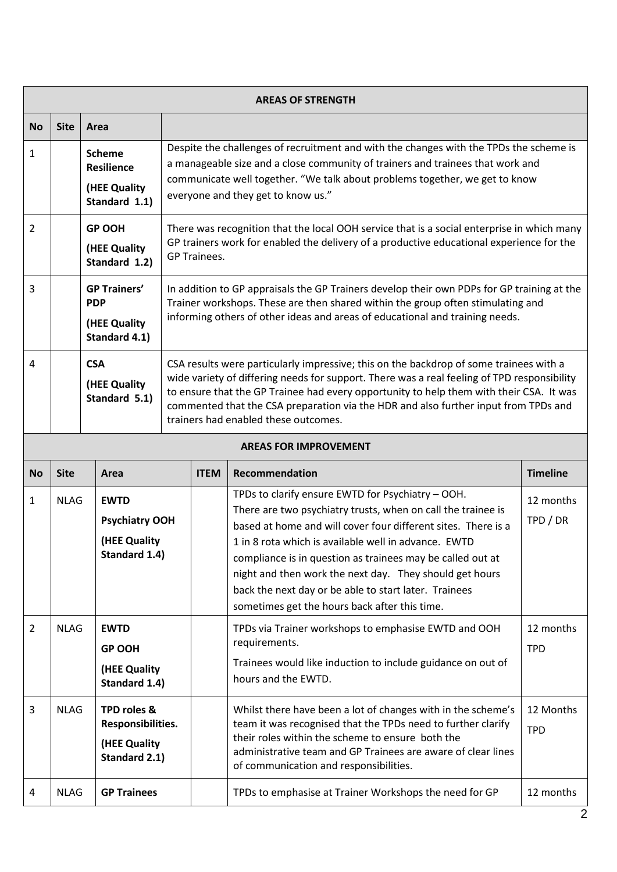|                | <b>AREAS OF STRENGTH</b> |                                                                       |  |                                                                                                                                                                                                                                                                                                                                                                                                                 |                                                                                                                                                                                                                                                                                                                                                                                                                                                                               |                         |  |
|----------------|--------------------------|-----------------------------------------------------------------------|--|-----------------------------------------------------------------------------------------------------------------------------------------------------------------------------------------------------------------------------------------------------------------------------------------------------------------------------------------------------------------------------------------------------------------|-------------------------------------------------------------------------------------------------------------------------------------------------------------------------------------------------------------------------------------------------------------------------------------------------------------------------------------------------------------------------------------------------------------------------------------------------------------------------------|-------------------------|--|
| <b>No</b>      | <b>Site</b>              | Area                                                                  |  |                                                                                                                                                                                                                                                                                                                                                                                                                 |                                                                                                                                                                                                                                                                                                                                                                                                                                                                               |                         |  |
| 1              |                          | <b>Scheme</b><br><b>Resilience</b><br>(HEE Quality<br>Standard 1.1)   |  |                                                                                                                                                                                                                                                                                                                                                                                                                 | Despite the challenges of recruitment and with the changes with the TPDs the scheme is<br>a manageable size and a close community of trainers and trainees that work and<br>communicate well together. "We talk about problems together, we get to know<br>everyone and they get to know us."                                                                                                                                                                                 |                         |  |
| $\overline{2}$ |                          | <b>GP OOH</b><br>(HEE Quality<br>Standard 1.2)                        |  | <b>GP Trainees.</b>                                                                                                                                                                                                                                                                                                                                                                                             | There was recognition that the local OOH service that is a social enterprise in which many<br>GP trainers work for enabled the delivery of a productive educational experience for the                                                                                                                                                                                                                                                                                        |                         |  |
| 3              |                          | <b>GP Trainers'</b><br><b>PDP</b><br>(HEE Quality<br>Standard 4.1)    |  | In addition to GP appraisals the GP Trainers develop their own PDPs for GP training at the<br>Trainer workshops. These are then shared within the group often stimulating and<br>informing others of other ideas and areas of educational and training needs.                                                                                                                                                   |                                                                                                                                                                                                                                                                                                                                                                                                                                                                               |                         |  |
| 4              |                          | <b>CSA</b><br>(HEE Quality<br>Standard 5.1)                           |  | CSA results were particularly impressive; this on the backdrop of some trainees with a<br>wide variety of differing needs for support. There was a real feeling of TPD responsibility<br>to ensure that the GP Trainee had every opportunity to help them with their CSA. It was<br>commented that the CSA preparation via the HDR and also further input from TPDs and<br>trainers had enabled these outcomes. |                                                                                                                                                                                                                                                                                                                                                                                                                                                                               |                         |  |
|                |                          |                                                                       |  |                                                                                                                                                                                                                                                                                                                                                                                                                 | <b>AREAS FOR IMPROVEMENT</b>                                                                                                                                                                                                                                                                                                                                                                                                                                                  |                         |  |
| <b>No</b>      | <b>Site</b>              | Area                                                                  |  | <b>ITEM</b>                                                                                                                                                                                                                                                                                                                                                                                                     | Recommendation                                                                                                                                                                                                                                                                                                                                                                                                                                                                | <b>Timeline</b>         |  |
| $\mathbf{1}$   | <b>NLAG</b>              | <b>EWTD</b><br><b>Psychiatry OOH</b><br>(HEE Quality<br>Standard 1.4) |  |                                                                                                                                                                                                                                                                                                                                                                                                                 | TPDs to clarify ensure EWTD for Psychiatry - OOH.<br>There are two psychiatry trusts, when on call the trainee is<br>based at home and will cover four different sites. There is a<br>1 in 8 rota which is available well in advance. EWTD<br>compliance is in question as trainees may be called out at<br>night and then work the next day. They should get hours<br>back the next day or be able to start later. Trainees<br>sometimes get the hours back after this time. | 12 months<br>TPD / DR   |  |
| $\overline{2}$ | <b>NLAG</b>              | <b>EWTD</b><br><b>GP OOH</b><br>(HEE Quality<br>Standard 1.4)         |  |                                                                                                                                                                                                                                                                                                                                                                                                                 | TPDs via Trainer workshops to emphasise EWTD and OOH<br>requirements.<br>Trainees would like induction to include guidance on out of<br>hours and the EWTD.                                                                                                                                                                                                                                                                                                                   | 12 months<br><b>TPD</b> |  |
| 3              | <b>NLAG</b>              | TPD roles &<br>Responsibilities.<br>(HEE Quality<br>Standard 2.1)     |  |                                                                                                                                                                                                                                                                                                                                                                                                                 | Whilst there have been a lot of changes with in the scheme's<br>team it was recognised that the TPDs need to further clarify<br>their roles within the scheme to ensure both the<br>administrative team and GP Trainees are aware of clear lines<br>of communication and responsibilities.                                                                                                                                                                                    | 12 Months<br><b>TPD</b> |  |
| 4              | <b>NLAG</b>              | <b>GP Trainees</b>                                                    |  |                                                                                                                                                                                                                                                                                                                                                                                                                 | TPDs to emphasise at Trainer Workshops the need for GP                                                                                                                                                                                                                                                                                                                                                                                                                        | 12 months               |  |